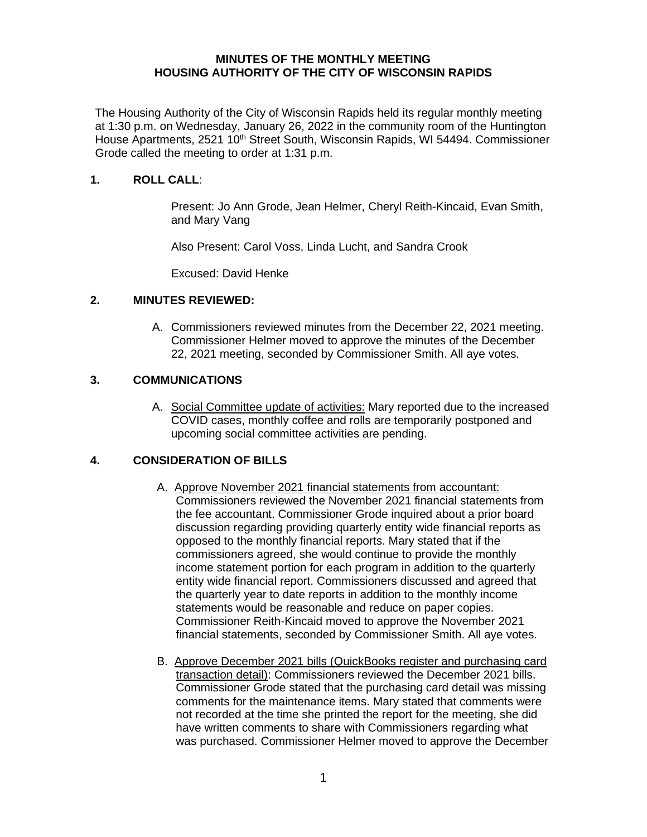#### **MINUTES OF THE MONTHLY MEETING HOUSING AUTHORITY OF THE CITY OF WISCONSIN RAPIDS**

The Housing Authority of the City of Wisconsin Rapids held its regular monthly meeting at 1:30 p.m. on Wednesday, January 26, 2022 in the community room of the Huntington House Apartments, 2521 10<sup>th</sup> Street South, Wisconsin Rapids, WI 54494. Commissioner Grode called the meeting to order at 1:31 p.m.

### **1. ROLL CALL**:

Present: Jo Ann Grode, Jean Helmer, Cheryl Reith-Kincaid, Evan Smith, and Mary Vang

Also Present: Carol Voss, Linda Lucht, and Sandra Crook

Excused: David Henke

#### **2. MINUTES REVIEWED:**

A. Commissioners reviewed minutes from the December 22, 2021 meeting. Commissioner Helmer moved to approve the minutes of the December 22, 2021 meeting, seconded by Commissioner Smith. All aye votes.

#### **3. COMMUNICATIONS**

A. Social Committee update of activities: Mary reported due to the increased COVID cases, monthly coffee and rolls are temporarily postponed and upcoming social committee activities are pending.

## **4. CONSIDERATION OF BILLS**

- A. Approve November 2021 financial statements from accountant: Commissioners reviewed the November 2021 financial statements from the fee accountant. Commissioner Grode inquired about a prior board discussion regarding providing quarterly entity wide financial reports as opposed to the monthly financial reports. Mary stated that if the commissioners agreed, she would continue to provide the monthly income statement portion for each program in addition to the quarterly entity wide financial report. Commissioners discussed and agreed that the quarterly year to date reports in addition to the monthly income statements would be reasonable and reduce on paper copies. Commissioner Reith-Kincaid moved to approve the November 2021 financial statements, seconded by Commissioner Smith. All aye votes.
- B. Approve December 2021 bills (QuickBooks register and purchasing card transaction detail): Commissioners reviewed the December 2021 bills. Commissioner Grode stated that the purchasing card detail was missing comments for the maintenance items. Mary stated that comments were not recorded at the time she printed the report for the meeting, she did have written comments to share with Commissioners regarding what was purchased. Commissioner Helmer moved to approve the December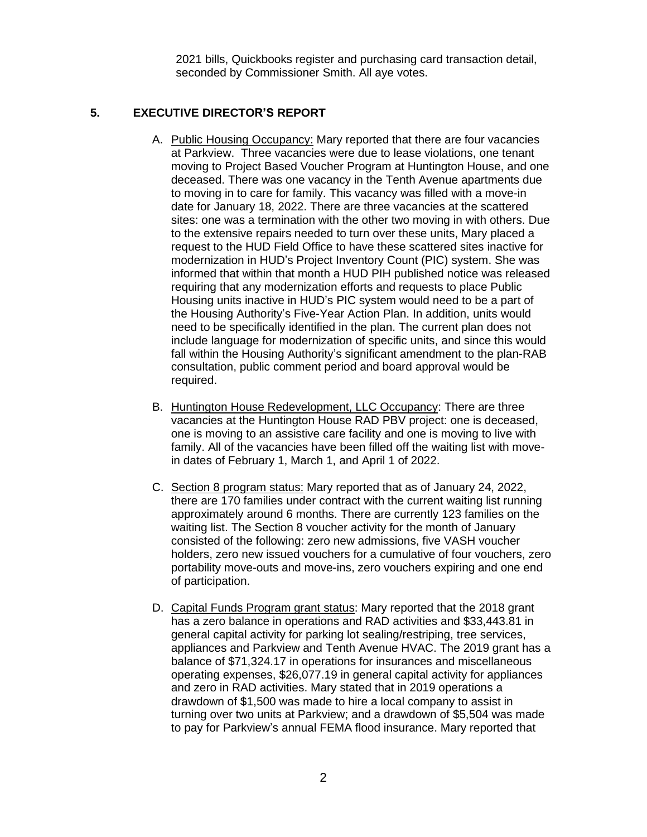2021 bills, Quickbooks register and purchasing card transaction detail, seconded by Commissioner Smith. All aye votes.

# **5. EXECUTIVE DIRECTOR'S REPORT**

- A. Public Housing Occupancy: Mary reported that there are four vacancies at Parkview. Three vacancies were due to lease violations, one tenant moving to Project Based Voucher Program at Huntington House, and one deceased. There was one vacancy in the Tenth Avenue apartments due to moving in to care for family. This vacancy was filled with a move-in date for January 18, 2022. There are three vacancies at the scattered sites: one was a termination with the other two moving in with others. Due to the extensive repairs needed to turn over these units, Mary placed a request to the HUD Field Office to have these scattered sites inactive for modernization in HUD's Project Inventory Count (PIC) system. She was informed that within that month a HUD PIH published notice was released requiring that any modernization efforts and requests to place Public Housing units inactive in HUD's PIC system would need to be a part of the Housing Authority's Five-Year Action Plan. In addition, units would need to be specifically identified in the plan. The current plan does not include language for modernization of specific units, and since this would fall within the Housing Authority's significant amendment to the plan-RAB consultation, public comment period and board approval would be required.
- B. Huntington House Redevelopment, LLC Occupancy: There are three vacancies at the Huntington House RAD PBV project: one is deceased, one is moving to an assistive care facility and one is moving to live with family. All of the vacancies have been filled off the waiting list with movein dates of February 1, March 1, and April 1 of 2022.
- C. Section 8 program status: Mary reported that as of January 24, 2022, there are 170 families under contract with the current waiting list running approximately around 6 months. There are currently 123 families on the waiting list. The Section 8 voucher activity for the month of January consisted of the following: zero new admissions, five VASH voucher holders, zero new issued vouchers for a cumulative of four vouchers, zero portability move-outs and move-ins, zero vouchers expiring and one end of participation.
- D. Capital Funds Program grant status: Mary reported that the 2018 grant has a zero balance in operations and RAD activities and \$33,443.81 in general capital activity for parking lot sealing/restriping, tree services, appliances and Parkview and Tenth Avenue HVAC. The 2019 grant has a balance of \$71,324.17 in operations for insurances and miscellaneous operating expenses, \$26,077.19 in general capital activity for appliances and zero in RAD activities. Mary stated that in 2019 operations a drawdown of \$1,500 was made to hire a local company to assist in turning over two units at Parkview; and a drawdown of \$5,504 was made to pay for Parkview's annual FEMA flood insurance. Mary reported that